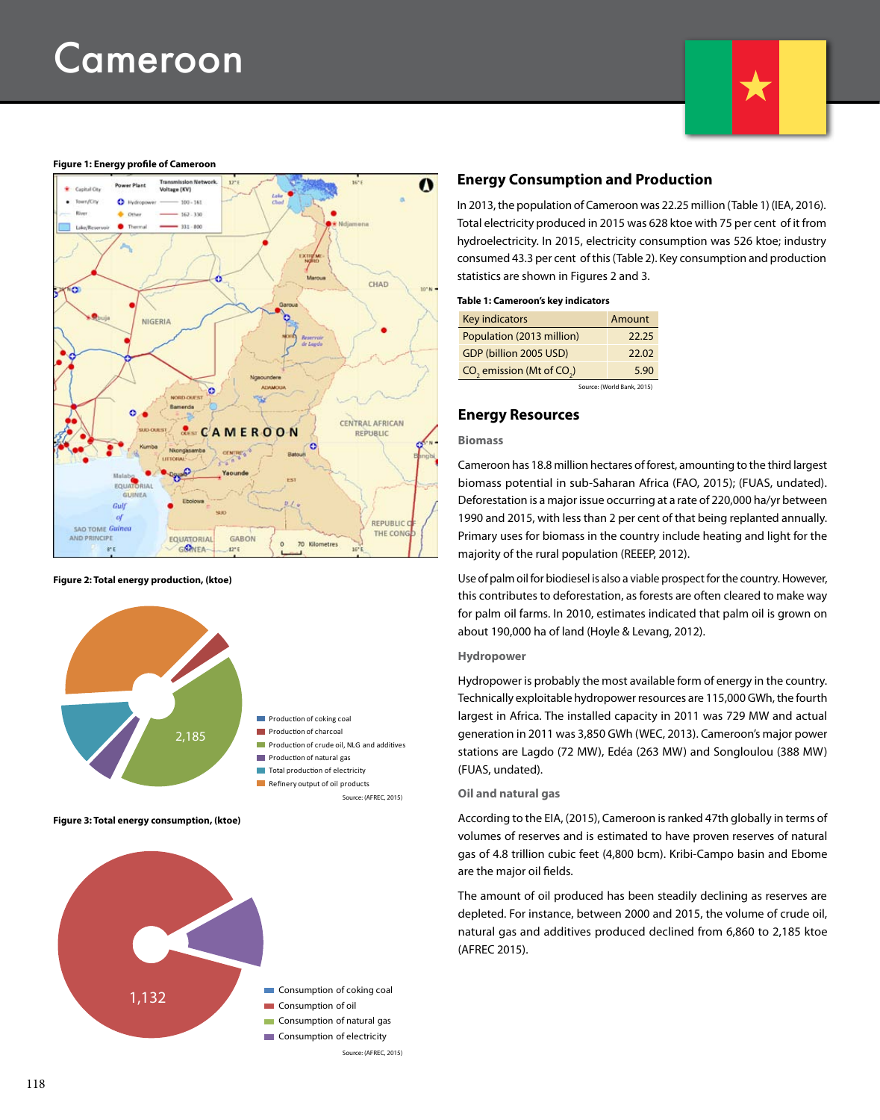# Cameroon

#### **Figure 1: Energy profile of Cameroon**



#### **Figure 2: Total energy production, (ktoe)**



**Figure 3: Total energy consumption, (ktoe)**



## **Energy Consumption and Production**

In 2013, the population of Cameroon was 22.25 million (Table 1) (IEA, 2016). Total electricity produced in 2015 was 628 ktoe with 75 per cent of it from hydroelectricity. In 2015, electricity consumption was 526 ktoe; industry consumed 43.3 per cent of this (Table 2). Key consumption and production statistics are shown in Figures 2 and 3.

#### **Table 1: Cameroon's key indicators**

| Key indicators                                    | Amount |
|---------------------------------------------------|--------|
| Population (2013 million)                         | 22.25  |
| GDP (billion 2005 USD)                            | 22.02  |
| CO <sub>2</sub> emission (Mt of CO <sub>2</sub> ) | 5.90   |

Source: (World Bank, 2015)

## **Energy Resources**

#### **Biomass**

Cameroon has 18.8 million hectares of forest, amounting to the third largest biomass potential in sub-Saharan Africa (FAO, 2015); (FUAS, undated). Deforestation is a major issue occurring at a rate of 220,000 ha/yr between 1990 and 2015, with less than 2 per cent of that being replanted annually. Primary uses for biomass in the country include heating and light for the majority of the rural population (REEEP, 2012).

Use of palm oil for biodiesel is also a viable prospect for the country. However, this contributes to deforestation, as forests are often cleared to make way for palm oil farms. In 2010, estimates indicated that palm oil is grown on about 190,000 ha of land (Hoyle & Levang, 2012).

#### **Hydropower**

Hydropower is probably the most available form of energy in the country. Technically exploitable hydropower resources are 115,000 GWh, the fourth largest in Africa. The installed capacity in 2011 was 729 MW and actual generation in 2011 was 3,850 GWh (WEC, 2013). Cameroon's major power stations are Lagdo (72 MW), Edéa (263 MW) and Songloulou (388 MW) (FUAS, undated).

#### **Oil and natural gas**

According to the EIA, (2015), Cameroon is ranked 47th globally in terms of volumes of reserves and is estimated to have proven reserves of natural gas of 4.8 trillion cubic feet (4,800 bcm). Kribi-Campo basin and Ebome are the major oil fields.

The amount of oil produced has been steadily declining as reserves are depleted. For instance, between 2000 and 2015, the volume of crude oil, natural gas and additives produced declined from 6,860 to 2,185 ktoe (AFREC 2015).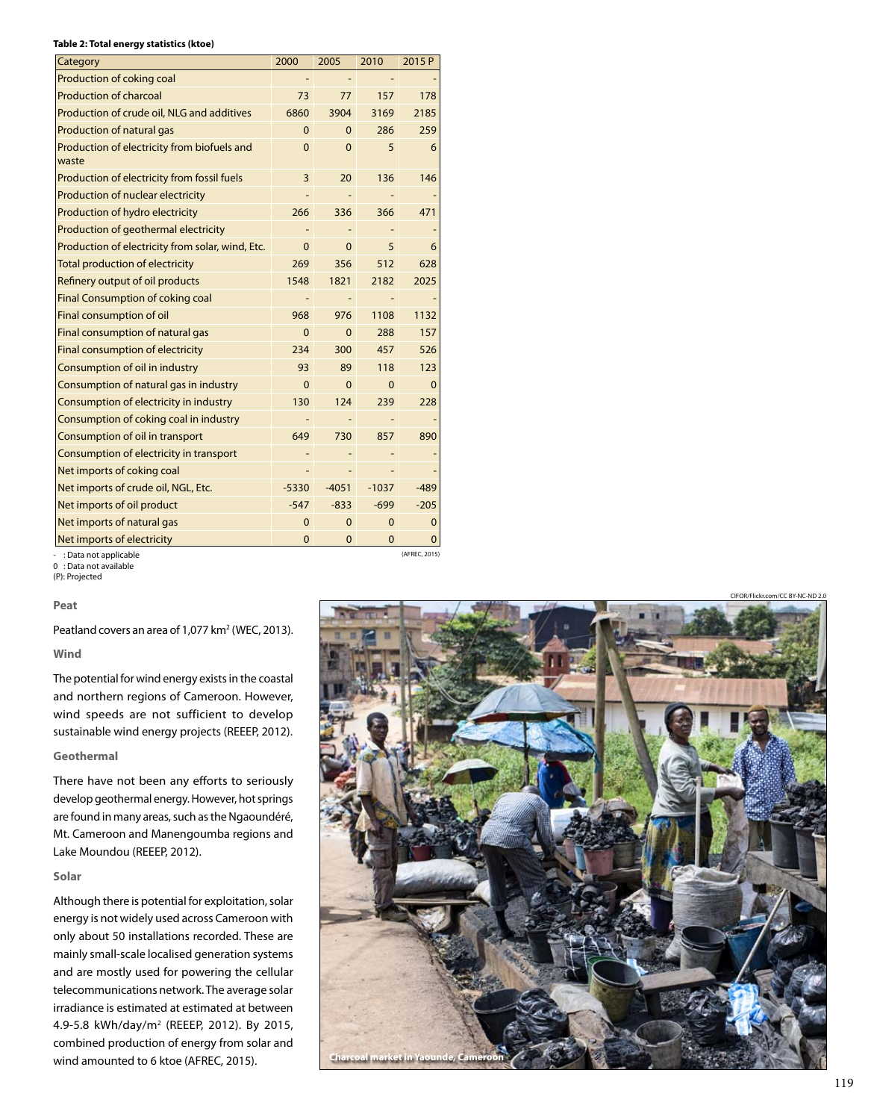#### **Table 2: Total energy statistics (ktoe)**

| Category                                             | 2000         | 2005         | 2010         | 2015 P         |
|------------------------------------------------------|--------------|--------------|--------------|----------------|
| Production of coking coal                            |              |              |              |                |
| <b>Production of charcoal</b>                        | 73           | 77           | 157          | 178            |
| Production of crude oil, NLG and additives           | 6860         | 3904         | 3169         | 2185           |
| <b>Production of natural gas</b>                     | $\Omega$     | 0            | 286          | 259            |
| Production of electricity from biofuels and<br>waste | $\mathbf{0}$ | $\mathbf{0}$ | 5            | 6              |
| Production of electricity from fossil fuels          | 3            | 20           | 136          | 146            |
| Production of nuclear electricity                    |              |              |              |                |
| Production of hydro electricity                      | 266          | 336          | 366          | 471            |
| Production of geothermal electricity                 |              |              |              |                |
| Production of electricity from solar, wind, Etc.     | $\mathbf{0}$ | $\mathbf{0}$ | 5            | 6              |
| <b>Total production of electricity</b>               | 269          | 356          | 512          | 628            |
| Refinery output of oil products                      | 1548         | 1821         | 2182         | 2025           |
| <b>Final Consumption of coking coal</b>              |              |              |              |                |
| Final consumption of oil                             | 968          | 976          | 1108         | 1132           |
| Final consumption of natural gas                     | 0            | 0            | 288          | 157            |
| Final consumption of electricity                     | 234          | 300          | 457          | 526            |
| Consumption of oil in industry                       | 93           | 89           | 118          | 123            |
| Consumption of natural gas in industry               | $\Omega$     | $\Omega$     | $\Omega$     | $\overline{0}$ |
| Consumption of electricity in industry               | 130          | 124          | 239          | 228            |
| Consumption of coking coal in industry               |              |              |              |                |
| Consumption of oil in transport                      | 649          | 730          | 857          | 890            |
| Consumption of electricity in transport              |              |              |              |                |
| Net imports of coking coal                           |              |              |              |                |
| Net imports of crude oil, NGL, Etc.                  | $-5330$      | $-4051$      | $-1037$      | $-489$         |
| Net imports of oil product                           | $-547$       | $-833$       | $-699$       | $-205$         |
| Net imports of natural gas                           | $\mathbf 0$  | $\mathbf 0$  | $\mathbf{0}$ | $\mathbf 0$    |
| Net imports of electricity                           | 0            | 0            | 0            | $\mathbf 0$    |

: Data not applicable

0 : Data not available (P): Projected

#### **Peat**

Peatland covers an area of 1,077 km<sup>2</sup> (WEC, 2013).

## **Wind**

The potential for wind energy exists in the coastal and northern regions of Cameroon. However, wind speeds are not sufficient to develop sustainable wind energy projects (REEEP, 2012).

### **Geothermal**

There have not been any efforts to seriously develop geothermal energy. However, hot springs are found in many areas, such as the Ngaoundéré, Mt. Cameroon and Manengoumba regions and Lake Moundou (REEEP, 2012).

#### **Solar**

Although there is potential for exploitation, solar energy is not widely used across Cameroon with only about 50 installations recorded. These are mainly small-scale localised generation systems and are mostly used for powering the cellular telecommunications network. The average solar irradiance is estimated at estimated at between 4.9-5.8 kWh/day/m2 (REEEP, 2012). By 2015, combined production of energy from solar and wind amounted to 6 ktoe (AFREC, 2015).



(AFREC, 2015)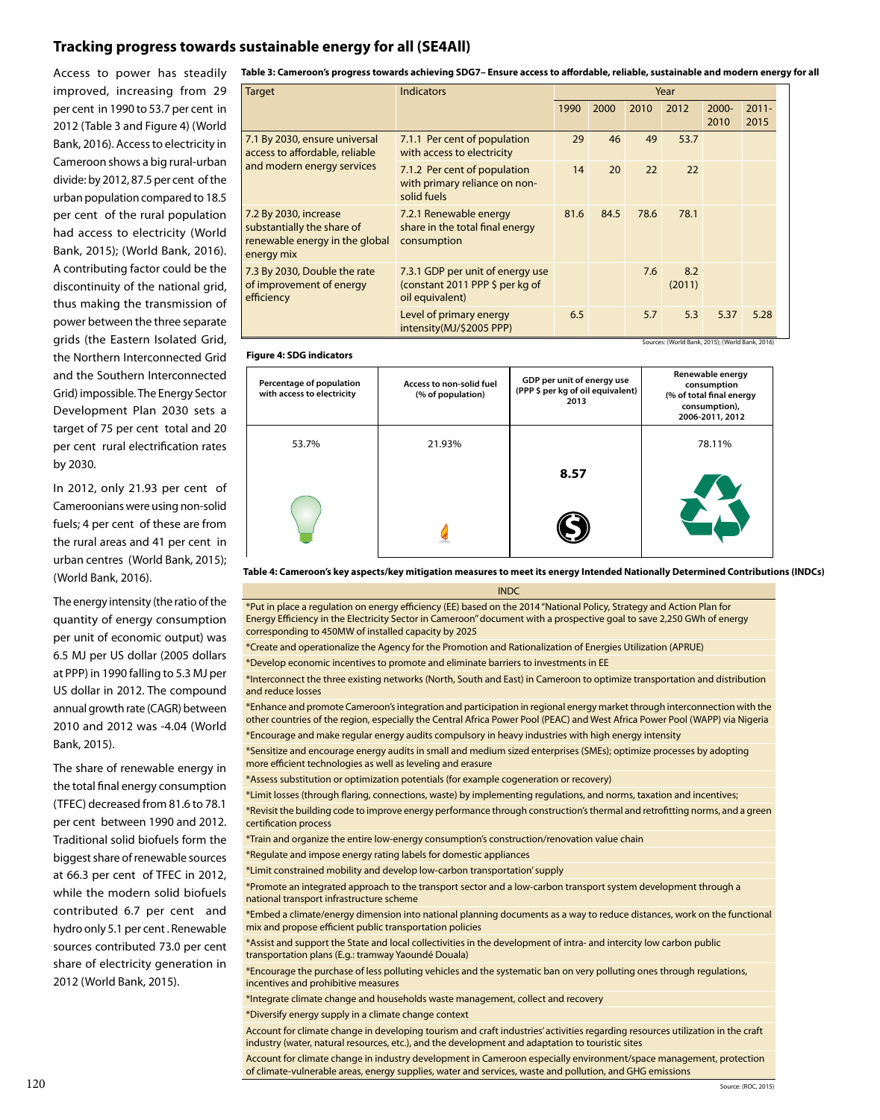# **Tracking progress towards sustainable energy for all (SE4All)**

Access to power has steadily improved, increasing from 29 per cent in 1990 to 53.7 per cent in 2012 (Table 3 and Figure 4) (World Bank, 2016). Access to electricity in Cameroon shows a big rural-urban divide: by 2012, 87.5 per cent of the urban population compared to 18.5 per cent of the rural population had access to electricity (World Bank, 2015); (World Bank, 2016). A contributing factor could be the discontinuity of the national grid, thus making the transmission of power between the three separate grids (the Eastern Isolated Grid, the Northern Interconnected Grid and the Southern Interconnected Grid) impossible. The Energy Sector Development Plan 2030 sets a target of 75 per cent total and 20 per cent rural electrification rates by 2030.

In 2012, only 21.93 per cent of Cameroonians were using non-solid fuels; 4 per cent of these are from the rural areas and 41 per cent in urban centres (World Bank, 2015); (World Bank, 2016).

The energy intensity (the ratio of the quantity of energy consumption per unit of economic output) was 6.5 MJ per US dollar (2005 dollars at PPP) in 1990 falling to 5.3 MJ per US dollar in 2012. The compound annual growth rate (CAGR) between 2010 and 2012 was -4.04 (World Bank, 2015).

The share of renewable energy in the total final energy consumption (TFEC) decreased from 81.6 to 78.1 per cent between 1990 and 2012. Traditional solid biofuels form the biggest share of renewable sources at 66.3 per cent of TFEC in 2012, while the modern solid biofuels contributed 6.7 per cent and hydro only 5.1 per cent . Renewable sources contributed 73.0 per cent share of electricity generation in 2012 (World Bank, 2015).

**Table 3: Cameroon's progress towards achieving SDG7– Ensure access to affordable, reliable, sustainable and modern energy for all**

| <b>Target</b>                                                                                       | <b>Indicators</b>                                                                      | Year |      |      |                                                        |                  |                  |
|-----------------------------------------------------------------------------------------------------|----------------------------------------------------------------------------------------|------|------|------|--------------------------------------------------------|------------------|------------------|
|                                                                                                     |                                                                                        | 1990 | 2000 | 2010 | 2012                                                   | $2000 -$<br>2010 | $2011 -$<br>2015 |
| 7.1 By 2030, ensure universal<br>access to affordable, reliable<br>and modern energy services       | 7.1.1 Per cent of population<br>with access to electricity                             | 29   | 46   | 49   | 53.7                                                   |                  |                  |
|                                                                                                     | 7.1.2 Per cent of population<br>with primary reliance on non-<br>solid fuels           | 14   | 20   | 22   | 22                                                     |                  |                  |
| 7.2 By 2030, increase<br>substantially the share of<br>renewable energy in the global<br>energy mix | 7.2.1 Renewable energy<br>share in the total final energy<br>consumption               | 81.6 | 84.5 | 78.6 | 78.1                                                   |                  |                  |
| 7.3 By 2030, Double the rate<br>of improvement of energy<br>efficiency                              | 7.3.1 GDP per unit of energy use<br>(constant 2011 PPP \$ per kg of<br>oil equivalent) |      |      | 7.6  | 8.2<br>(2011)                                          |                  |                  |
|                                                                                                     | Level of primary energy<br>intensity(MJ/\$2005 PPP)                                    | 6.5  |      | 5.7  | 5.3<br>Sources: (World Bank, 2015); (World Bank, 2016) | 5.37             | 5.28             |

#### **Figure 4: SDG indicators**

| Percentage of population<br>with access to electricity | Access to non-solid fuel<br>(% of population) | GDP per unit of energy use<br>(PPP \$ per kg of oil equivalent)<br>2013 | Renewable energy<br>consumption<br>(% of total final energy<br>consumption),<br>2006-2011, 2012 |
|--------------------------------------------------------|-----------------------------------------------|-------------------------------------------------------------------------|-------------------------------------------------------------------------------------------------|
| 53.7%                                                  | 21.93%                                        |                                                                         | 78.11%                                                                                          |
|                                                        |                                               | 8.57                                                                    |                                                                                                 |
|                                                        |                                               |                                                                         |                                                                                                 |

**Table 4: Cameroon's key aspects/key mitigation measures to meet its energy Intended Nationally Determined Contributions (INDCs)**

**INDC** 

\*Put in place a regulation on energy efficiency (EE) based on the 2014 "National Policy, Strategy and Action Plan for Energy Efficiency in the Electricity Sector in Cameroon" document with a prospective goal to save 2,250 GWh of energy corresponding to 450MW of installed capacity by 2025

\*Create and operationalize the Agency for the Promotion and Rationalization of Energies Utilization (APRUE)

\*Develop economic incentives to promote and eliminate barriers to investments in EE

\*Interconnect the three existing networks (North, South and East) in Cameroon to optimize transportation and distribution and reduce losses

\*Enhance and promote Cameroon's integration and participation in regional energy market through interconnection with the other countries of the region, especially the Central Africa Power Pool (PEAC) and West Africa Power Pool (WAPP) via Nigeria

\*Encourage and make regular energy audits compulsory in heavy industries with high energy intensity

\*Sensitize and encourage energy audits in small and medium sized enterprises (SMEs); optimize processes by adopting more efficient technologies as well as leveling and erasure

\*Assess substitution or optimization potentials (for example cogeneration or recovery)

\*Limit losses (through flaring, connections, waste) by implementing regulations, and norms, taxation and incentives;

\*Revisit the building code to improve energy performance through construction's thermal and retrofitting norms, and a green certification process

\*Train and organize the entire low-energy consumption's construction/renovation value chain

\*Regulate and impose energy rating labels for domestic appliances

\*Limit constrained mobility and develop low-carbon transportation' supply

\*Promote an integrated approach to the transport sector and a low-carbon transport system development through a national transport infrastructure scheme

\*Embed a climate/energy dimension into national planning documents as a way to reduce distances, work on the functional mix and propose efficient public transportation policies

\*Assist and support the State and local collectivities in the development of intra- and intercity low carbon public transportation plans (E.g.: tramway Yaoundé Douala)

\*Encourage the purchase of less polluting vehicles and the systematic ban on very polluting ones through regulations, incentives and prohibitive measures

\*Integrate climate change and households waste management, collect and recovery

\*Diversify energy supply in a climate change context

Account for climate change in developing tourism and craft industries' activities regarding resources utilization in the craft industry (water, natural resources, etc.), and the development and adaptation to touristic sites

Account for climate change in industry development in Cameroon especially environment/space management, protection of climate-vulnerable areas, energy supplies, water and services, waste and pollution, and GHG emissions